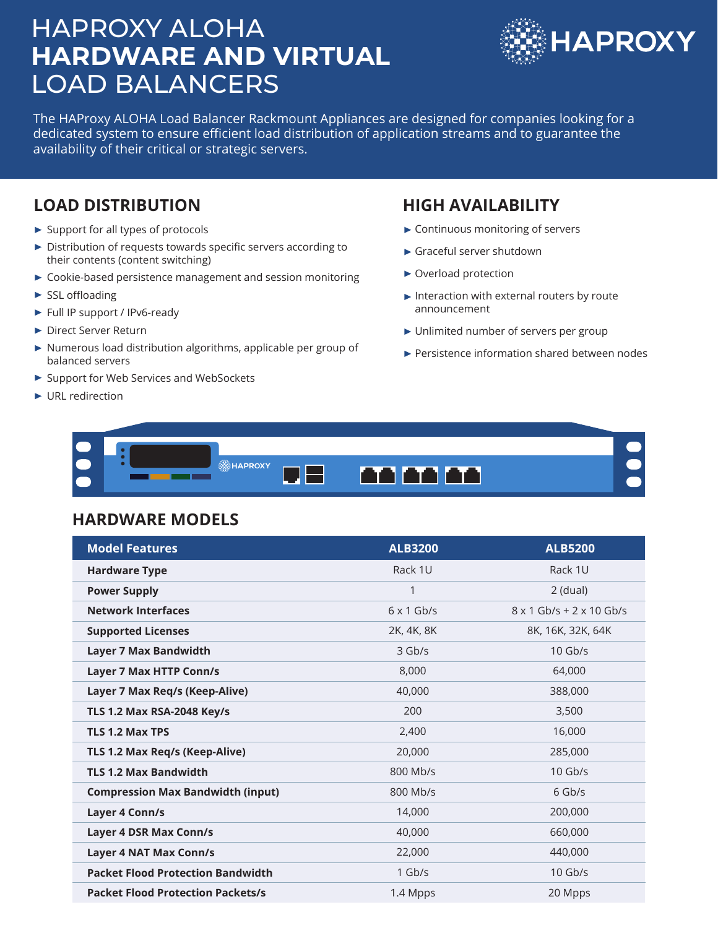# HAPROXY ALOHA **HARDWARE AND VIRTUAL** LOAD BALANCERS



The HAProxy ALOHA Load Balancer Rackmount Appliances are designed for companies looking for a dedicated system to ensure efficient load distribution of application streams and to guarantee the availability of their critical or strategic servers.

### **LOAD DISTRIBUTION**

- ▶ Support for all types of protocols
- ▶ Distribution of requests towards specific servers according to their contents (content switching)
- ▶ Cookie-based persistence management and session monitoring
- $\blacktriangleright$  SSL offloading
- ► Full IP support / IPv6-ready
- ▶ Direct Server Return
- $\triangleright$  Numerous load distribution algorithms, applicable per group of balanced servers
- ▶ Support for Web Services and WebSockets
- ▶ URL redirection

#### **HIGH AVAILABILITY**

- Continuous monitoring of servers
- Graceful server shutdown
- ▶ Overload protection
- $\blacktriangleright$  Interaction with external routers by route announcement
- ▶ Unlimited number of servers per group
- Persistence information shared between nodes



#### **HARDWARE MODELS**

| <b>Model Features</b>                    | <b>ALB3200</b>    | <b>ALB5200</b>                  |
|------------------------------------------|-------------------|---------------------------------|
| <b>Hardware Type</b>                     | Rack 1U           | Rack 1U                         |
| <b>Power Supply</b>                      | 1                 | $2$ (dual)                      |
| <b>Network Interfaces</b>                | $6 \times 1$ Gb/s | $8 \times 1$ Gb/s + 2 x 10 Gb/s |
| <b>Supported Licenses</b>                | 2K, 4K, 8K        | 8K, 16K, 32K, 64K               |
| <b>Layer 7 Max Bandwidth</b>             | $3$ Gb/s          | $10$ Gb/s                       |
| <b>Layer 7 Max HTTP Conn/s</b>           | 8,000             | 64,000                          |
| Layer 7 Max Req/s (Keep-Alive)           | 40,000            | 388,000                         |
| <b>TLS 1.2 Max RSA-2048 Key/s</b>        | 200               | 3,500                           |
| <b>TLS 1.2 Max TPS</b>                   | 2,400             | 16,000                          |
| TLS 1.2 Max Req/s (Keep-Alive)           | 20,000            | 285,000                         |
| <b>TLS 1.2 Max Bandwidth</b>             | 800 Mb/s          | $10$ Gb/s                       |
| <b>Compression Max Bandwidth (input)</b> | 800 Mb/s          | $6$ Gb/s                        |
| Layer 4 Conn/s                           | 14,000            | 200,000                         |
| <b>Layer 4 DSR Max Conn/s</b>            | 40,000            | 660,000                         |
| <b>Layer 4 NAT Max Conn/s</b>            | 22,000            | 440,000                         |
| <b>Packet Flood Protection Bandwidth</b> | $1$ Gb/s          | $10$ Gb/s                       |
| <b>Packet Flood Protection Packets/s</b> | 1.4 Mpps          | 20 Mpps                         |